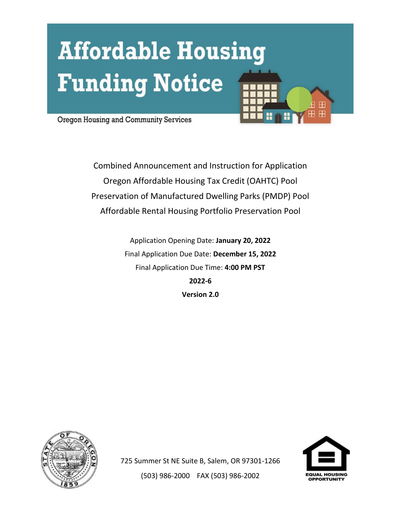# **Affordable Housing Funding Notice**



Oregon Housing and Community Services

Combined Announcement and Instruction for Application Oregon Affordable Housing Tax Credit (OAHTC) Pool Preservation of Manufactured Dwelling Parks (PMDP) Pool Affordable Rental Housing Portfolio Preservation Pool

> Application Opening Date: **January 20, 2022** Final Application Due Date: **December 15, 2022** Final Application Due Time: **4:00 PM PST 2022-6 Version 2.0**





725 Summer St NE Suite B, Salem, OR 97301-1266 (503) 986-2000 FAX (503) 986-2002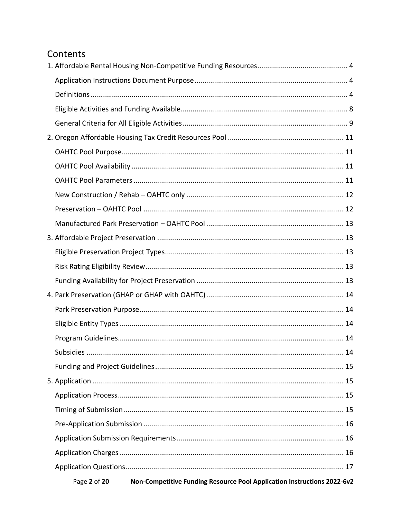# Contents

| Non-Competitive Funding Resource Pool Application Instructions 2022-6v2<br>Page 2 of 20 |
|-----------------------------------------------------------------------------------------|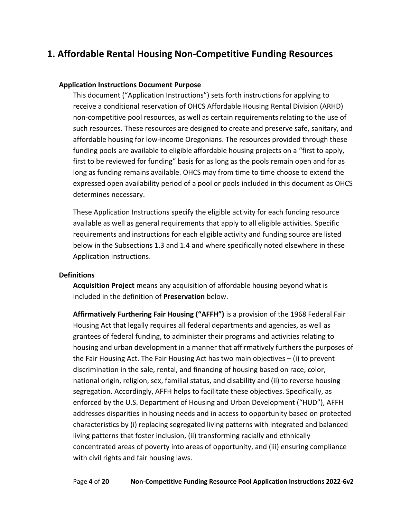# <span id="page-3-0"></span>**1. Affordable Rental Housing Non-Competitive Funding Resources**

#### <span id="page-3-1"></span>**Application Instructions Document Purpose**

This document ("Application Instructions") sets forth instructions for applying to receive a conditional reservation of OHCS Affordable Housing Rental Division (ARHD) non-competitive pool resources, as well as certain requirements relating to the use of such resources. These resources are designed to create and preserve safe, sanitary, and affordable housing for low-income Oregonians. The resources provided through these funding pools are available to eligible affordable housing projects on a "first to apply, first to be reviewed for funding" basis for as long as the pools remain open and for as long as funding remains available. OHCS may from time to time choose to extend the expressed open availability period of a pool or pools included in this document as OHCS determines necessary.

These Application Instructions specify the eligible activity for each funding resource available as well as general requirements that apply to all eligible activities. Specific requirements and instructions for each eligible activity and funding source are listed below in the Subsections 1.3 and 1.4 and where specifically noted elsewhere in these Application Instructions.

#### <span id="page-3-2"></span>**Definitions**

**Acquisition Project** means any acquisition of affordable housing beyond what is included in the definition of **Preservation** below.

**Affirmatively Furthering Fair Housing ("AFFH")** is a provision of the 1968 Federal Fair Housing Act that legally requires all federal departments and agencies, as well as grantees of federal funding, to administer their programs and activities relating to housing and urban development in a manner that affirmatively furthers the purposes of the Fair Housing Act. The Fair Housing Act has two main objectives – (i) to prevent discrimination in the sale, rental, and financing of housing based on race, color, national origin, religion, sex, familial status, and disability and (ii) to reverse housing segregation. Accordingly, AFFH helps to facilitate these objectives. Specifically, as enforced by the U.S. Department of Housing and Urban Development ("HUD"), AFFH addresses disparities in housing needs and in access to opportunity based on protected characteristics by (i) replacing segregated living patterns with integrated and balanced living patterns that foster inclusion, (ii) transforming racially and ethnically concentrated areas of poverty into areas of opportunity, and (iii) ensuring compliance with civil rights and fair housing laws.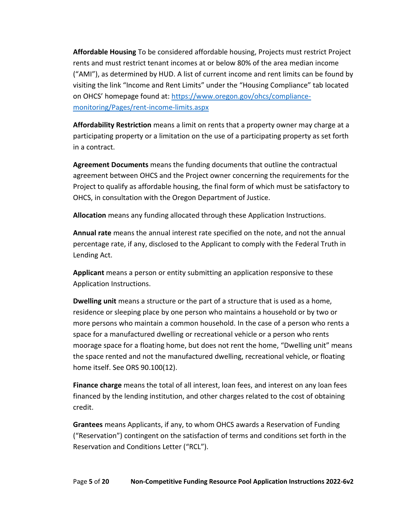**Affordable Housing** To be considered affordable housing, Projects must restrict Project rents and must restrict tenant incomes at or below 80% of the area median income ("AMI"), as determined by HUD. A list of current income and rent limits can be found by visiting the link "Income and Rent Limits" under the "Housing Compliance" tab located on OHCS' homepage found at: [https://www.oregon.gov/ohcs/compliance](https://www.oregon.gov/ohcs/compliance-monitoring/Pages/rent-income-limits.aspx)[monitoring/Pages/rent-income-limits.aspx](https://www.oregon.gov/ohcs/compliance-monitoring/Pages/rent-income-limits.aspx)

**Affordability Restriction** means a limit on rents that a property owner may charge at a participating property or a limitation on the use of a participating property as set forth in a contract.

**Agreement Documents** means the funding documents that outline the contractual agreement between OHCS and the Project owner concerning the requirements for the Project to qualify as affordable housing, the final form of which must be satisfactory to OHCS, in consultation with the Oregon Department of Justice.

**Allocation** means any funding allocated through these Application Instructions.

**Annual rate** means the annual interest rate specified on the note, and not the annual percentage rate, if any, disclosed to the Applicant to comply with the Federal Truth in Lending Act.

**Applicant** means a person or entity submitting an application responsive to these Application Instructions.

**Dwelling unit** means a structure or the part of a structure that is used as a home, residence or sleeping place by one person who maintains a household or by two or more persons who maintain a common household. In the case of a person who rents a space for a manufactured dwelling or recreational vehicle or a person who rents moorage space for a floating home, but does not rent the home, "Dwelling unit" means the space rented and not the manufactured dwelling, recreational vehicle, or floating home itself. See ORS 90.100(12).

**Finance charge** means the total of all interest, loan fees, and interest on any loan fees financed by the lending institution, and other charges related to the cost of obtaining credit.

**Grantees** means Applicants, if any, to whom OHCS awards a Reservation of Funding ("Reservation") contingent on the satisfaction of terms and conditions set forth in the Reservation and Conditions Letter ("RCL").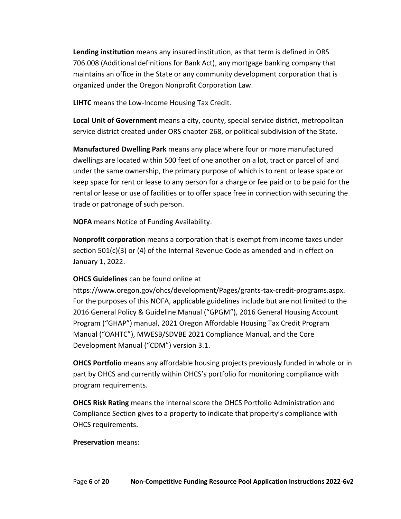**Lending institution** means any insured institution, as that term is defined in ORS [706.008 \(Additional definitions for Bank Act\),](https://www.oregonlaws.org/ors/706.008) any mortgage banking company that maintains an office in the State or any community development corporation that is organized under the Oregon Nonprofit Corporation Law.

**LIHTC** means the Low-Income Housing Tax Credit.

**Local Unit of Government** means a city, county, special service district, metropolitan service district created under ORS chapter 268, or political subdivision of the State.

**Manufactured Dwelling Park** means any place where four or more manufactured dwellings are located within 500 feet of one another on a lot, tract or parcel of land under the same ownership, the primary purpose of which is to rent or lease space or keep space for rent or lease to any person for a charge or fee paid or to be paid for the rental or lease or use of facilities or to offer space free in connection with securing the trade or patronage of such person.

**NOFA** means Notice of Funding Availability.

**Nonprofit corporation** means a corporation that is exempt from income taxes under section 501(c)(3) or (4) of the Internal Revenue Code as amended and in effect on January 1, 2022.

## **OHCS Guidelines** can be found online at

https://www.oregon.gov/ohcs/development/Pages/grants-tax-credit-programs.aspx. For the purposes of this NOFA, applicable guidelines include but are not limited to the 2016 General Policy & Guideline Manual ("GPGM"), 2016 General Housing Account Program ("GHAP") manual, 2021 Oregon Affordable Housing Tax Credit Program Manual ("OAHTC"), MWESB/SDVBE 2021 Compliance Manual, and the Core Development Manual ("CDM") version 3.1.

**OHCS Portfolio** means any affordable housing projects previously funded in whole or in part by OHCS and currently within OHCS's portfolio for monitoring compliance with program requirements.

**OHCS Risk Rating** means the internal score the OHCS Portfolio Administration and Compliance Section gives to a property to indicate that property's compliance with OHCS requirements.

#### **Preservation** means: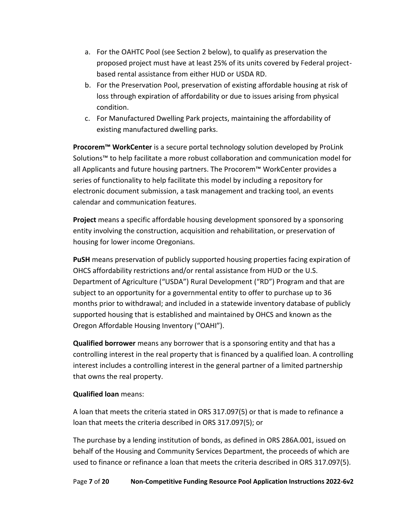- a. For the OAHTC Pool (see Section 2 below), to qualify as preservation the proposed project must have at least 25% of its units covered by Federal projectbased rental assistance from either HUD or USDA RD.
- b. For the Preservation Pool, preservation of existing affordable housing at risk of loss through expiration of affordability or due to issues arising from physical condition.
- c. For Manufactured Dwelling Park projects, maintaining the affordability of existing manufactured dwelling parks.

**Procorem™ WorkCenter** is a secure portal technology solution developed by ProLink Solutions™ to help facilitate a more robust collaboration and communication model for all Applicants and future housing partners. The Procorem™ WorkCenter provides a series of functionality to help facilitate this model by including a repository for electronic document submission, a task management and tracking tool, an events calendar and communication features.

**Project** means a specific affordable housing development sponsored by a sponsoring entity involving the construction, acquisition and rehabilitation, or preservation of housing for lower income Oregonians.

**PuSH** means preservation of publicly supported housing properties facing expiration of OHCS affordability restrictions and/or rental assistance from HUD or the U.S. Department of Agriculture ("USDA") Rural Development ("RD") Program and that are subject to an opportunity for a governmental entity to offer to purchase up to 36 months prior to withdrawal; and included in a statewide inventory database of publicly supported housing that is established and maintained by OHCS and known as the Oregon Affordable Housing Inventory ("OAHI").

**Qualified borrower** means any borrower that is a sponsoring entity and that has a controlling interest in the real property that is financed by a qualified loan. A controlling interest includes a controlling interest in the general partner of a limited partnership that owns the real property.

## **Qualified loan** means:

A loan that meets the criteria stated in ORS 317.097(5) or that is made to refinance a loan that meets the criteria described in ORS 317.097(5); or

The purchase by a lending institution of bonds, as defined in ORS 286A.001, issued on behalf of the Housing and Community Services Department, the proceeds of which are used to finance or refinance a loan that meets the criteria described in ORS 317.097(5).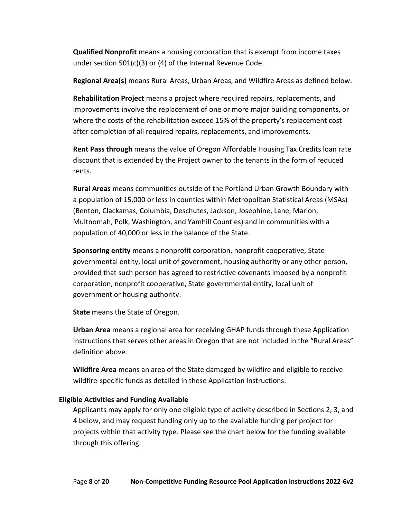**Qualified Nonprofit** means a housing corporation that is exempt from income taxes under section 501(c)(3) or (4) of the Internal Revenue Code.

**Regional Area(s)** means Rural Areas, Urban Areas, and Wildfire Areas as defined below.

**Rehabilitation Project** means a project where required repairs, replacements, and improvements involve the replacement of one or more major building components, or where the costs of the rehabilitation exceed 15% of the property's replacement cost after completion of all required repairs, replacements, and improvements.

**Rent Pass through** means the value of Oregon Affordable Housing Tax Credits loan rate discount that is extended by the Project owner to the tenants in the form of reduced rents.

**Rural Areas** means communities outside of the Portland Urban Growth Boundary with a population of 15,000 or less in counties within Metropolitan Statistical Areas (MSAs) (Benton, Clackamas, Columbia, Deschutes, Jackson, Josephine, Lane, Marion, Multnomah, Polk, Washington, and Yamhill Counties) and in communities with a population of 40,000 or less in the balance of the State.

**Sponsoring entity** means a nonprofit corporation, nonprofit cooperative, State governmental entity, local unit of government, housing authority or any other person, provided that such person has agreed to restrictive covenants imposed by a nonprofit corporation, nonprofit cooperative, State governmental entity, local unit of government or housing authority.

**State** means the State of Oregon.

**Urban Area** means a regional area for receiving GHAP funds through these Application Instructions that serves other areas in Oregon that are not included in the "Rural Areas" definition above.

**Wildfire Area** means an area of the State damaged by wildfire and eligible to receive wildfire-specific funds as detailed in these Application Instructions.

#### <span id="page-7-0"></span>**Eligible Activities and Funding Available**

Applicants may apply for only one eligible type of activity described in Sections 2, 3, and 4 below, and may request funding only up to the available funding per project for projects within that activity type. Please see the chart below for the funding available through this offering.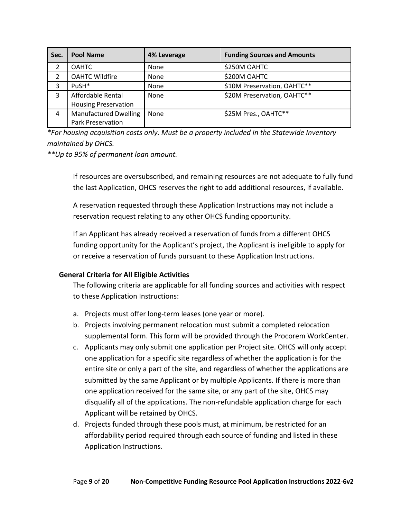| Sec.           | <b>Pool Name</b>             | 4% Leverage | <b>Funding Sources and Amounts</b> |
|----------------|------------------------------|-------------|------------------------------------|
| 2              | <b>OAHTC</b>                 | <b>None</b> | \$250M OAHTC                       |
| $\overline{2}$ | <b>OAHTC Wildfire</b>        | None        | \$200M OAHTC                       |
| 3              | PuSH*                        | None        | \$10M Preservation, OAHTC**        |
| 3              | Affordable Rental            | None        | \$20M Preservation, OAHTC**        |
|                | <b>Housing Preservation</b>  |             |                                    |
| 4              | <b>Manufactured Dwelling</b> | None        | \$25M Pres., OAHTC**               |
|                | Park Preservation            |             |                                    |

*\*For housing acquisition costs only. Must be a property included in the Statewide Inventory maintained by OHCS.*

*\*\*Up to 95% of permanent loan amount.*

If resources are oversubscribed, and remaining resources are not adequate to fully fund the last Application, OHCS reserves the right to add additional resources, if available.

A reservation requested through these Application Instructions may not include a reservation request relating to any other OHCS funding opportunity.

If an Applicant has already received a reservation of funds from a different OHCS funding opportunity for the Applicant's project, the Applicant is ineligible to apply for or receive a reservation of funds pursuant to these Application Instructions.

## <span id="page-8-0"></span>**General Criteria for All Eligible Activities**

The following criteria are applicable for all funding sources and activities with respect to these Application Instructions:

- a. Projects must offer long-term leases (one year or more).
- b. Projects involving permanent relocation must submit a completed relocation supplemental form. This form will be provided through the Procorem WorkCenter.
- c. Applicants may only submit one application per Project site. OHCS will only accept one application for a specific site regardless of whether the application is for the entire site or only a part of the site, and regardless of whether the applications are submitted by the same Applicant or by multiple Applicants. If there is more than one application received for the same site, or any part of the site, OHCS may disqualify all of the applications. The non-refundable application charge for each Applicant will be retained by OHCS.
- d. Projects funded through these pools must, at minimum, be restricted for an affordability period required through each source of funding and listed in these Application Instructions.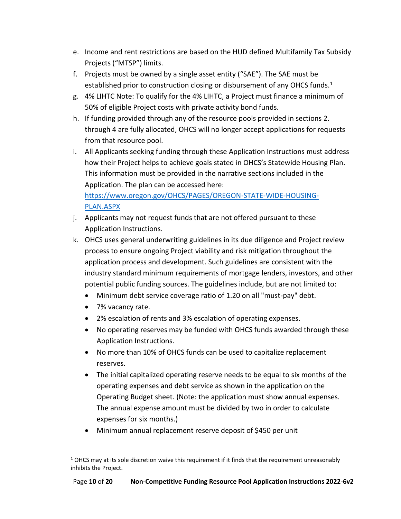- e. Income and rent restrictions are based on the HUD defined Multifamily Tax Subsidy Projects ("MTSP") limits.
- f. Projects must be owned by a single asset entity ("SAE"). The SAE must be established prior to construction closing or disbursement of any OHCS funds.<sup>1</sup>
- g. 4% LIHTC Note: To qualify for the 4% LIHTC, a Project must finance a minimum of 50% of eligible Project costs with private activity bond funds.
- h. If funding provided through any of the resource pools provided in sections 2. through 4 are fully allocated, OHCS will no longer accept applications for requests from that resource pool.
- i. All Applicants seeking funding through these Application Instructions must address how their Project helps to achieve goals stated in OHCS's Statewide Housing Plan. This information must be provided in the narrative sections included in the Application. The plan can be accessed here: [https://www.oregon.gov/OHCS/PAGES/OREGON-STATE-WIDE-HOUSING-](https://www.oregon.gov/OHCS/PAGES/OREGON-STATE-WIDE-HOUSING-PLAN.ASPX)[PLAN.ASPX](https://www.oregon.gov/OHCS/PAGES/OREGON-STATE-WIDE-HOUSING-PLAN.ASPX)

j. Applicants may not request funds that are not offered pursuant to these Application Instructions.

- k. OHCS uses general underwriting guidelines in its due diligence and Project review process to ensure ongoing Project viability and risk mitigation throughout the application process and development. Such guidelines are consistent with the industry standard minimum requirements of mortgage lenders, investors, and other potential public funding sources. The guidelines include, but are not limited to:
	- Minimum debt service coverage ratio of 1.20 on all "must-pay" debt.
	- 7% vacancy rate.
	- 2% escalation of rents and 3% escalation of operating expenses.
	- No operating reserves may be funded with OHCS funds awarded through these Application Instructions.
	- No more than 10% of OHCS funds can be used to capitalize replacement reserves.
	- The initial capitalized operating reserve needs to be equal to six months of the operating expenses and debt service as shown in the application on the Operating Budget sheet. (Note: the application must show annual expenses. The annual expense amount must be divided by two in order to calculate expenses for six months.)
	- Minimum annual replacement reserve deposit of \$450 per unit

 $1$  OHCS may at its sole discretion waive this requirement if it finds that the requirement unreasonably inhibits the Project.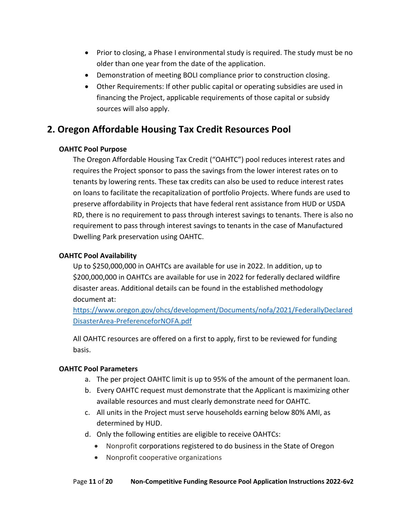- Prior to closing, a Phase I environmental study is required. The study must be no older than one year from the date of the application.
- Demonstration of meeting BOLI compliance prior to construction closing.
- Other Requirements: If other public capital or operating subsidies are used in financing the Project, applicable requirements of those capital or subsidy sources will also apply.

# <span id="page-10-1"></span><span id="page-10-0"></span>**2. Oregon Affordable Housing Tax Credit Resources Pool**

## **OAHTC Pool Purpose**

The Oregon Affordable Housing Tax Credit ("OAHTC") pool reduces interest rates and requires the Project sponsor to pass the savings from the lower interest rates on to tenants by lowering rents. These tax credits can also be used to reduce interest rates on loans to facilitate the recapitalization of portfolio Projects. Where funds are used to preserve affordability in Projects that have federal rent assistance from HUD or USDA RD, there is no requirement to pass through interest savings to tenants. There is also no requirement to pass through interest savings to tenants in the case of Manufactured Dwelling Park preservation using OAHTC.

## <span id="page-10-2"></span>**OAHTC Pool Availability**

Up to \$250,000,000 in OAHTCs are available for use in 2022. In addition, up to \$200,000,000 in OAHTCs are available for use in 2022 for federally declared wildfire disaster areas. Additional details can be found in the established methodology document at:

[https://www.oregon.gov/ohcs/development/Documents/nofa/2021/FederallyDeclared](https://www.oregon.gov/ohcs/development/Documents/nofa/2021/FederallyDeclaredDisasterArea-PreferenceforNOFA.pdf) [DisasterArea-PreferenceforNOFA.pdf](https://www.oregon.gov/ohcs/development/Documents/nofa/2021/FederallyDeclaredDisasterArea-PreferenceforNOFA.pdf)

All OAHTC resources are offered on a first to apply, first to be reviewed for funding basis.

## <span id="page-10-3"></span>**OAHTC Pool Parameters**

- a. The per project OAHTC limit is up to 95% of the amount of the permanent loan.
- b. Every OAHTC request must demonstrate that the Applicant is maximizing other available resources and must clearly demonstrate need for OAHTC.
- c. All units in the Project must serve households earning below 80% AMI, as determined by HUD.
- d. Only the following entities are eligible to receive OAHTCs:
	- Nonprofit corporations registered to do business in the State of Oregon
	- Nonprofit cooperative organizations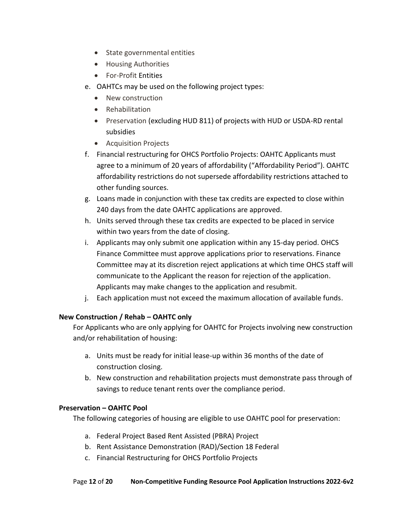- State governmental entities
- Housing Authorities
- For-Profit Entities
- e. OAHTCs may be used on the following project types:
	- New construction
	- Rehabilitation
	- Preservation (excluding HUD 811) of projects with HUD or USDA-RD rental subsidies
	- Acquisition Projects
- f. Financial restructuring for OHCS Portfolio Projects: OAHTC Applicants must agree to a minimum of 20 years of affordability ("Affordability Period"). OAHTC affordability restrictions do not supersede affordability restrictions attached to other funding sources.
- g. Loans made in conjunction with these tax credits are expected to close within 240 days from the date OAHTC applications are approved.
- h. Units served through these tax credits are expected to be placed in service within two years from the date of closing.
- i. Applicants may only submit one application within any 15-day period. OHCS Finance Committee must approve applications prior to reservations. Finance Committee may at its discretion reject applications at which time OHCS staff will communicate to the Applicant the reason for rejection of the application. Applicants may make changes to the application and resubmit.
- j. Each application must not exceed the maximum allocation of available funds.

## <span id="page-11-0"></span>**New Construction / Rehab – OAHTC only**

For Applicants who are only applying for OAHTC for Projects involving new construction and/or rehabilitation of housing:

- a. Units must be ready for initial lease-up within 36 months of the date of construction closing.
- b. New construction and rehabilitation projects must demonstrate pass through of savings to reduce tenant rents over the compliance period.

## <span id="page-11-1"></span>**Preservation – OAHTC Pool**

The following categories of housing are eligible to use OAHTC pool for preservation:

- a. Federal Project Based Rent Assisted (PBRA) Project
- b. Rent Assistance Demonstration (RAD)/Section 18 Federal
- c. Financial Restructuring for OHCS Portfolio Projects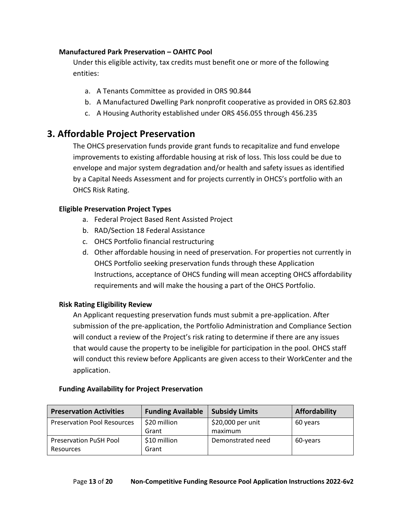#### <span id="page-12-0"></span>**Manufactured Park Preservation – OAHTC Pool**

Under this eligible activity, tax credits must benefit one or more of the following entities:

- a. A Tenants Committee as provided in ORS 90.844
- b. A Manufactured Dwelling Park nonprofit cooperative as provided in ORS 62.803
- c. A Housing Authority established under ORS 456.055 through 456.235

# <span id="page-12-1"></span>**3. Affordable Project Preservation**

The OHCS preservation funds provide grant funds to recapitalize and fund envelope improvements to existing affordable housing at risk of loss. This loss could be due to envelope and major system degradation and/or health and safety issues as identified by a Capital Needs Assessment and for projects currently in OHCS's portfolio with an OHCS Risk Rating.

## <span id="page-12-2"></span>**Eligible Preservation Project Types**

- a. Federal Project Based Rent Assisted Project
- b. RAD/Section 18 Federal Assistance
- c. OHCS Portfolio financial restructuring
- d. Other affordable housing in need of preservation. For properties not currently in OHCS Portfolio seeking preservation funds through these Application Instructions, acceptance of OHCS funding will mean accepting OHCS affordability requirements and will make the housing a part of the OHCS Portfolio.

## <span id="page-12-3"></span>**Risk Rating Eligibility Review**

An Applicant requesting preservation funds must submit a pre-application. After submission of the pre-application, the Portfolio Administration and Compliance Section will conduct a review of the Project's risk rating to determine if there are any issues that would cause the property to be ineligible for participation in the pool. OHCS staff will conduct this review before Applicants are given access to their WorkCenter and the application.

| <b>Preservation Activities</b>     | <b>Funding Available</b> | <b>Subsidy Limits</b> | Affordability |
|------------------------------------|--------------------------|-----------------------|---------------|
| <b>Preservation Pool Resources</b> | \$20 million             | \$20,000 per unit     | 60 years      |
|                                    | Grant                    | maximum               |               |
| <b>Preservation PuSH Pool</b>      | \$10 million             | Demonstrated need     | 60-years      |
| Resources                          | Grant                    |                       |               |

## <span id="page-12-4"></span>**Funding Availability for Project Preservation**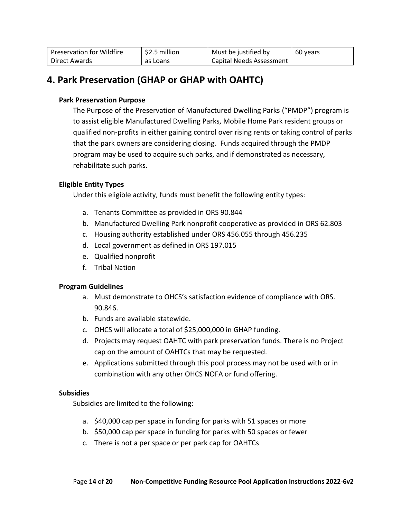| <b>Preservation for Wildfire</b> | \$2.5 million | Must be justified by     | 60 years |
|----------------------------------|---------------|--------------------------|----------|
| Direct Awards                    | as Loans      | Capital Needs Assessment |          |

# <span id="page-13-1"></span><span id="page-13-0"></span>**4. Park Preservation (GHAP or GHAP with OAHTC)**

#### **Park Preservation Purpose**

The Purpose of the Preservation of Manufactured Dwelling Parks ("PMDP") program is to assist eligible Manufactured Dwelling Parks, Mobile Home Park resident groups or qualified non-profits in either gaining control over rising rents or taking control of parks that the park owners are considering closing. Funds acquired through the PMDP program may be used to acquire such parks, and if demonstrated as necessary, rehabilitate such parks.

#### <span id="page-13-2"></span>**Eligible Entity Types**

Under this eligible activity, funds must benefit the following entity types:

- a. Tenants Committee as provided in ORS 90.844
- b. Manufactured Dwelling Park nonprofit cooperative as provided in ORS 62.803
- c. Housing authority established under ORS 456.055 through 456.235
- d. Local government as defined in ORS 197.015
- e. Qualified nonprofit
- f. Tribal Nation

#### <span id="page-13-3"></span>**Program Guidelines**

- a. Must demonstrate to OHCS's satisfaction evidence of compliance with ORS. 90.846.
- b. Funds are available statewide.
- c. OHCS will allocate a total of \$25,000,000 in GHAP funding.
- d. Projects may request OAHTC with park preservation funds. There is no Project cap on the amount of OAHTCs that may be requested.
- e. Applications submitted through this pool process may not be used with or in combination with any other OHCS NOFA or fund offering.

#### <span id="page-13-4"></span>**Subsidies**

Subsidies are limited to the following:

- a. \$40,000 cap per space in funding for parks with 51 spaces or more
- b. \$50,000 cap per space in funding for parks with 50 spaces or fewer
- c. There is not a per space or per park cap for OAHTCs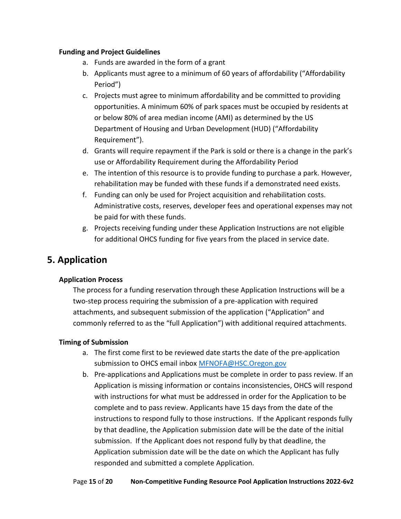#### <span id="page-14-0"></span>**Funding and Project Guidelines**

- a. Funds are awarded in the form of a grant
- b. Applicants must agree to a minimum of 60 years of affordability ("Affordability Period")
- c. Projects must agree to minimum affordability and be committed to providing opportunities. A minimum 60% of park spaces must be occupied by residents at or below 80% of area median income (AMI) as determined by the US Department of Housing and Urban Development (HUD) ("Affordability Requirement").
- d. Grants will require repayment if the Park is sold or there is a change in the park's use or Affordability Requirement during the Affordability Period
- e. The intention of this resource is to provide funding to purchase a park. However, rehabilitation may be funded with these funds if a demonstrated need exists.
- f. Funding can only be used for Project acquisition and rehabilitation costs. Administrative costs, reserves, developer fees and operational expenses may not be paid for with these funds.
- g. Projects receiving funding under these Application Instructions are not eligible for additional OHCS funding for five years from the placed in service date.

# <span id="page-14-2"></span><span id="page-14-1"></span>**5. Application**

## **Application Process**

The process for a funding reservation through these Application Instructions will be a two-step process requiring the submission of a pre-application with required attachments, and subsequent submission of the application ("Application" and commonly referred to as the "full Application") with additional required attachments.

## <span id="page-14-3"></span>**Timing of Submission**

- a. The first come first to be reviewed date starts the date of the pre-application submission to OHCS email inbox [MFNOFA@HSC.Oregon.gov](mailto:MFNOFA@HSC.Oregon.gov)
- b. Pre-applications and Applications must be complete in order to pass review. If an Application is missing information or contains inconsistencies, OHCS will respond with instructions for what must be addressed in order for the Application to be complete and to pass review. Applicants have 15 days from the date of the instructions to respond fully to those instructions. If the Applicant responds fully by that deadline, the Application submission date will be the date of the initial submission. If the Applicant does not respond fully by that deadline, the Application submission date will be the date on which the Applicant has fully responded and submitted a complete Application.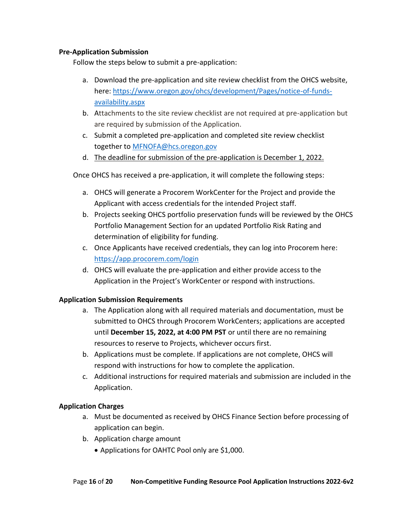#### <span id="page-15-0"></span>**Pre-Application Submission**

Follow the steps below to submit a pre-application:

- a. Download the pre-application and site review checklist from the OHCS website, here: [https://www.oregon.gov/ohcs/development/Pages/notice-of-funds](https://www.oregon.gov/ohcs/development/Pages/notice-of-funds-availability.aspx)[availability.aspx](https://www.oregon.gov/ohcs/development/Pages/notice-of-funds-availability.aspx)
- b. Attachments to the site review checklist are not required at pre-application but are required by submission of the Application.
- c. Submit a completed pre-application and completed site review checklist together to [MFNOFA@hcs.oregon.gov](mailto:MFNOFA@hcs.oregon.gov)
- d. The deadline for submission of the pre-application is December 1, 2022.

Once OHCS has received a pre-application, it will complete the following steps:

- a. OHCS will generate a Procorem WorkCenter for the Project and provide the Applicant with access credentials for the intended Project staff.
- b. Projects seeking OHCS portfolio preservation funds will be reviewed by the OHCS Portfolio Management Section for an updated Portfolio Risk Rating and determination of eligibility for funding.
- c. Once Applicants have received credentials, they can log into Procorem here: <https://app.procorem.com/login>
- d. OHCS will evaluate the pre-application and either provide access to the Application in the Project's WorkCenter or respond with instructions.

## <span id="page-15-1"></span>**Application Submission Requirements**

- a. The Application along with all required materials and documentation, must be submitted to OHCS through Procorem WorkCenters; applications are accepted until **December 15, 2022, at 4:00 PM PST** or until there are no remaining resources to reserve to Projects, whichever occurs first.
- b. Applications must be complete. If applications are not complete, OHCS will respond with instructions for how to complete the application.
- c. Additional instructions for required materials and submission are included in the Application.

## <span id="page-15-2"></span>**Application Charges**

- a. Must be documented as received by OHCS Finance Section before processing of application can begin.
- b. Application charge amount
	- Applications for OAHTC Pool only are \$1,000.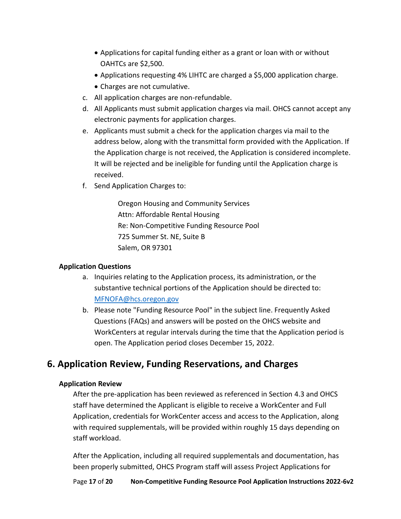- Applications for capital funding either as a grant or loan with or without OAHTCs are \$2,500.
- Applications requesting 4% LIHTC are charged a \$5,000 application charge.
- Charges are not cumulative.
- c. All application charges are non-refundable.
- d. All Applicants must submit application charges via mail. OHCS cannot accept any electronic payments for application charges.
- e. Applicants must submit a check for the application charges via mail to the address below, along with the transmittal form provided with the Application. If the Application charge is not received, the Application is considered incomplete. It will be rejected and be ineligible for funding until the Application charge is received.
- f. Send Application Charges to:

Oregon Housing and Community Services Attn: Affordable Rental Housing Re: Non-Competitive Funding Resource Pool 725 Summer St. NE, Suite B Salem, OR 97301

## <span id="page-16-0"></span>**Application Questions**

- a. Inquiries relating to the Application process, its administration, or the substantive technical portions of the Application should be directed to: [MFNOFA@hcs.oregon.gov](mailto:MFNOFA@hcs.oregon.gov)
- b. Please note "Funding Resource Pool" in the subject line. Frequently Asked Questions (FAQs) and answers will be posted on the OHCS website and WorkCenters at regular intervals during the time that the Application period is open. The Application period closes December 15, 2022.

# <span id="page-16-2"></span><span id="page-16-1"></span>**6. Application Review, Funding Reservations, and Charges**

## **Application Review**

After the pre-application has been reviewed as referenced in Section 4.3 and OHCS staff have determined the Applicant is eligible to receive a WorkCenter and Full Application, credentials for WorkCenter access and access to the Application, along with required supplementals, will be provided within roughly 15 days depending on staff workload.

After the Application, including all required supplementals and documentation, has been properly submitted, OHCS Program staff will assess Project Applications for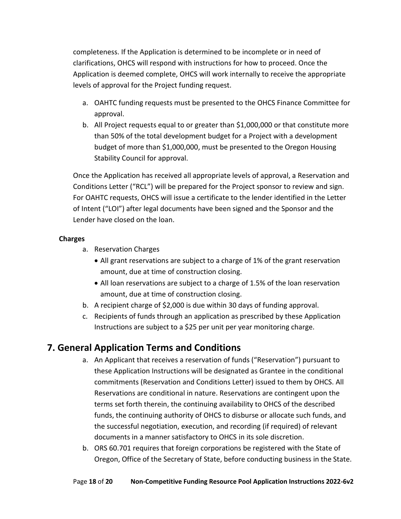completeness. If the Application is determined to be incomplete or in need of clarifications, OHCS will respond with instructions for how to proceed. Once the Application is deemed complete, OHCS will work internally to receive the appropriate levels of approval for the Project funding request.

- a. OAHTC funding requests must be presented to the OHCS Finance Committee for approval.
- b. All Project requests equal to or greater than \$1,000,000 or that constitute more than 50% of the total development budget for a Project with a development budget of more than \$1,000,000, must be presented to the Oregon Housing Stability Council for approval.

Once the Application has received all appropriate levels of approval, a Reservation and Conditions Letter ("RCL") will be prepared for the Project sponsor to review and sign. For OAHTC requests, OHCS will issue a certificate to the lender identified in the Letter of Intent ("LOI") after legal documents have been signed and the Sponsor and the Lender have closed on the loan.

## <span id="page-17-0"></span>**Charges**

- a. Reservation Charges
	- All grant reservations are subject to a charge of 1% of the grant reservation amount, due at time of construction closing.
	- All loan reservations are subject to a charge of 1.5% of the loan reservation amount, due at time of construction closing.
- b. A recipient charge of \$2,000 is due within 30 days of funding approval.
- c. Recipients of funds through an application as prescribed by these Application Instructions are subject to a \$25 per unit per year monitoring charge.

# <span id="page-17-1"></span>**7. General Application Terms and Conditions**

- a. An Applicant that receives a reservation of funds ("Reservation") pursuant to these Application Instructions will be designated as Grantee in the conditional commitments (Reservation and Conditions Letter) issued to them by OHCS. All Reservations are conditional in nature. Reservations are contingent upon the terms set forth therein, the continuing availability to OHCS of the described funds, the continuing authority of OHCS to disburse or allocate such funds, and the successful negotiation, execution, and recording (if required) of relevant documents in a manner satisfactory to OHCS in its sole discretion.
- b. ORS 60.701 requires that foreign corporations be registered with the State of Oregon, Office of the Secretary of State, before conducting business in the State.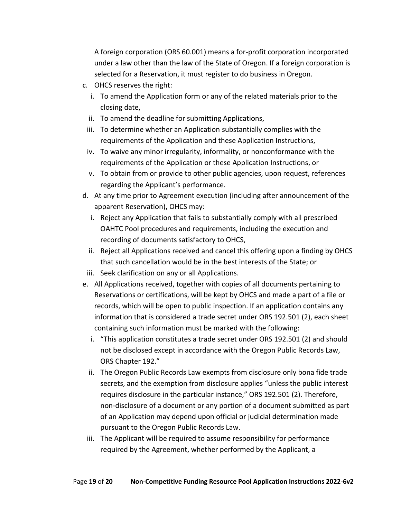A foreign corporation (ORS 60.001) means a for-profit corporation incorporated under a law other than the law of the State of Oregon. If a foreign corporation is selected for a Reservation, it must register to do business in Oregon.

- c. OHCS reserves the right:
	- i. To amend the Application form or any of the related materials prior to the closing date,
	- ii. To amend the deadline for submitting Applications,
	- iii. To determine whether an Application substantially complies with the requirements of the Application and these Application Instructions,
	- iv. To waive any minor irregularity, informality, or nonconformance with the requirements of the Application or these Application Instructions, or
	- v. To obtain from or provide to other public agencies, upon request, references regarding the Applicant's performance.
- d. At any time prior to Agreement execution (including after announcement of the apparent Reservation), OHCS may:
	- i. Reject any Application that fails to substantially comply with all prescribed OAHTC Pool procedures and requirements, including the execution and recording of documents satisfactory to OHCS,
	- ii. Reject all Applications received and cancel this offering upon a finding by OHCS that such cancellation would be in the best interests of the State; or
- iii. Seek clarification on any or all Applications.
- e. All Applications received, together with copies of all documents pertaining to Reservations or certifications, will be kept by OHCS and made a part of a file or records, which will be open to public inspection. If an application contains any information that is considered a trade secret under ORS 192.501 (2), each sheet containing such information must be marked with the following:
	- i. "This application constitutes a trade secret under ORS 192.501 (2) and should not be disclosed except in accordance with the Oregon Public Records Law, ORS Chapter 192."
	- ii. The Oregon Public Records Law exempts from disclosure only bona fide trade secrets, and the exemption from disclosure applies "unless the public interest requires disclosure in the particular instance," ORS 192.501 (2). Therefore, non-disclosure of a document or any portion of a document submitted as part of an Application may depend upon official or judicial determination made pursuant to the Oregon Public Records Law.
	- iii. The Applicant will be required to assume responsibility for performance required by the Agreement, whether performed by the Applicant, a